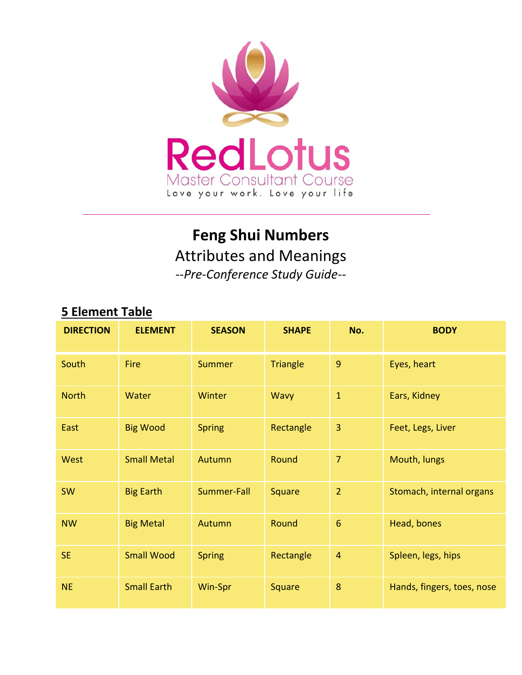

# **Feng Shui Numbers**

Attributes and Meanings

*‐‐Pre‐Conference Study Guide‐‐* 

| <b>DIRECTION</b> | <b>ELEMENT</b>     | <b>SEASON</b> | <b>SHAPE</b>    | No.            | <b>BODY</b>                |
|------------------|--------------------|---------------|-----------------|----------------|----------------------------|
| <b>South</b>     | Fire               | <b>Summer</b> | <b>Triangle</b> | 9              | Eyes, heart                |
| <b>North</b>     | Water              | Winter        | Wavy            | $\mathbf{1}$   | Ears, Kidney               |
| East             | <b>Big Wood</b>    | <b>Spring</b> | Rectangle       | 3              | Feet, Legs, Liver          |
| <b>West</b>      | <b>Small Metal</b> | Autumn        | Round           | $\overline{7}$ | Mouth, lungs               |
| <b>SW</b>        | <b>Big Earth</b>   | Summer-Fall   | Square          | $\overline{2}$ | Stomach, internal organs   |
| <b>NW</b>        | <b>Big Metal</b>   | Autumn        | Round           | 6              | Head, bones                |
| <b>SE</b>        | <b>Small Wood</b>  | <b>Spring</b> | Rectangle       | $\overline{4}$ | Spleen, legs, hips         |
| <b>NE</b>        | <b>Small Earth</b> | Win-Spr       | Square          | 8              | Hands, fingers, toes, nose |

# **5 Element Table**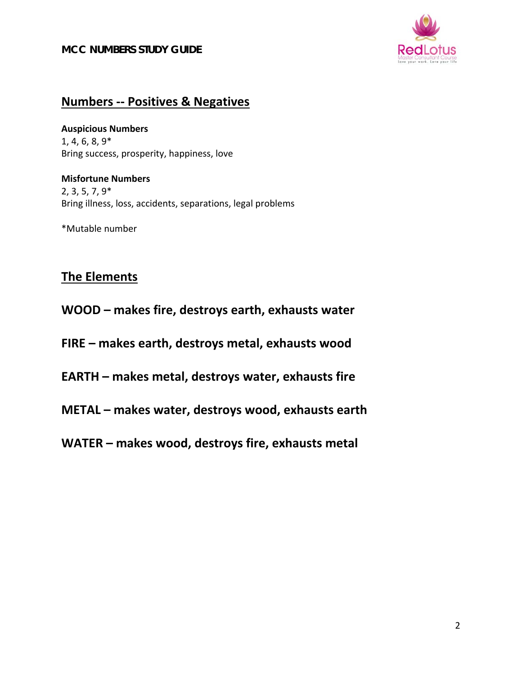

## **Numbers ‐‐ Positives & Negatives**

**Auspicious Numbers** 1, 4, 6, 8, 9\* Bring success, prosperity, happiness, love

**Misfortune Numbers** 2, 3, 5, 7, 9\* Bring illness, loss, accidents, separations, legal problems

\*Mutable number

### **The Elements**

**WOOD – makes fire, destroys earth, exhausts water**

**FIRE – makes earth, destroys metal, exhausts wood**

- **EARTH – makes metal, destroys water, exhausts fire**
- **METAL – makes water, destroys wood, exhausts earth**
- **WATER – makes wood, destroys fire, exhausts metal**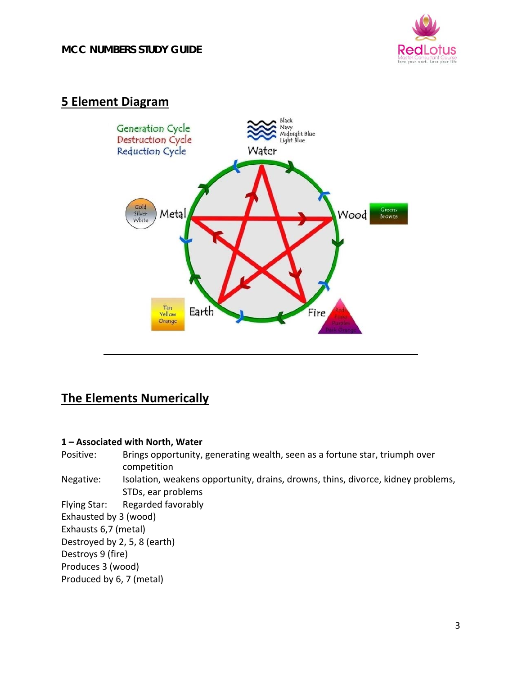

### **5 Element Diagram**



### **The Elements Numerically**

#### **1 – Associated with North, Water**

Positive: Brings opportunity, generating wealth, seen as a fortune star, triumph over competition Negative: Isolation, weakens opportunity, drains, drowns, thins, divorce, kidney problems, STDs, ear problems Flying Star: Regarded favorably Exhausted by 3 (wood) Exhausts 6,7 (metal) Destroyed by 2, 5, 8 (earth) Destroys 9 (fire) Produces 3 (wood) Produced by 6, 7 (metal)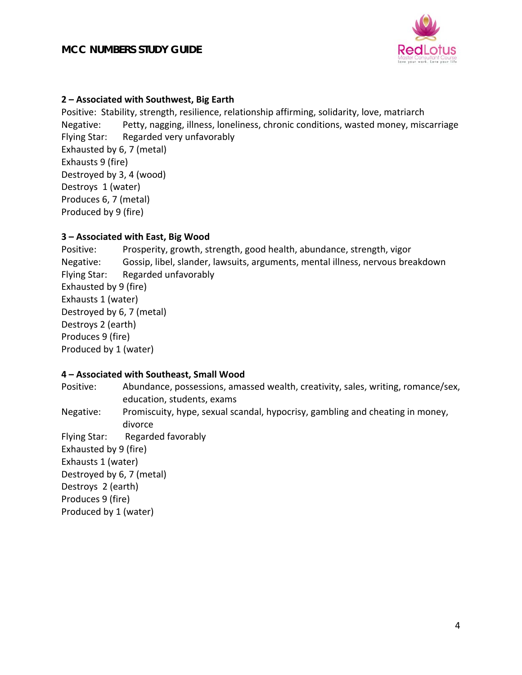

#### **2 – Associated with Southwest, Big Earth**

Positive: Stability, strength, resilience, relationship affirming, solidarity, love, matriarch Negative: Petty, nagging, illness, loneliness, chronic conditions, wasted money, miscarriage Flying Star: Regarded very unfavorably Exhausted by 6, 7 (metal) Exhausts 9 (fire) Destroyed by 3, 4 (wood) Destroys 1 (water) Produces 6, 7 (metal) Produced by 9 (fire)

#### **3 – Associated with East, Big Wood**

Positive: Prosperity, growth, strength, good health, abundance, strength, vigor Negative: Gossip, libel, slander, lawsuits, arguments, mental illness, nervous breakdown Flying Star: Regarded unfavorably Exhausted by 9 (fire) Exhausts 1 (water) Destroyed by 6, 7 (metal) Destroys 2 (earth) Produces 9 (fire) Produced by 1 (water)

#### **4 – Associated with Southeast, Small Wood**

Positive: Abundance, possessions, amassed wealth, creativity, sales, writing, romance/sex, education, students, exams Negative: Promiscuity, hype, sexual scandal, hypocrisy, gambling and cheating in money, divorce Flying Star: Regarded favorably Exhausted by 9 (fire) Exhausts 1 (water) Destroyed by 6, 7 (metal) Destroys 2 (earth) Produces 9 (fire) Produced by 1 (water)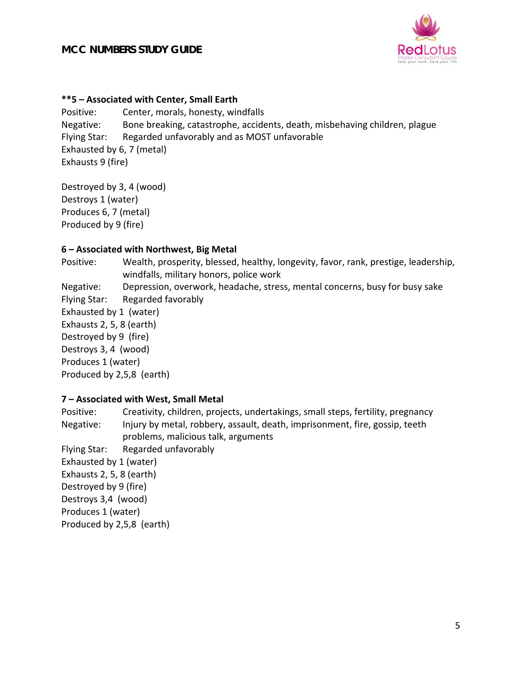

#### **\*\*5 – Associated with Center, Small Earth**

Positive: Center, morals, honesty, windfalls Negative: Bone breaking, catastrophe, accidents, death, misbehaving children, plague Flying Star: Regarded unfavorably and as MOST unfavorable Exhausted by 6, 7 (metal) Exhausts 9 (fire)

Destroyed by 3, 4 (wood) Destroys 1 (water) Produces 6, 7 (metal) Produced by 9 (fire)

#### **6 – Associated with Northwest, Big Metal**

Positive: Wealth, prosperity, blessed, healthy, longevity, favor, rank, prestige, leadership, windfalls, military honors, police work Negative: Depression, overwork, headache, stress, mental concerns, busy for busy sake Flying Star: Regarded favorably Exhausted by 1 (water) Exhausts 2, 5, 8 (earth) Destroyed by 9 (fire) Destroys 3, 4 (wood) Produces 1 (water) Produced by 2,5,8 (earth)

#### **7 – Associated with West, Small Metal**

Positive: Creativity, children, projects, undertakings, small steps, fertility, pregnancy Negative: Injury by metal, robbery, assault, death, imprisonment, fire, gossip, teeth problems, malicious talk, arguments Flying Star: Regarded unfavorably Exhausted by 1 (water) Exhausts 2, 5, 8 (earth) Destroyed by 9 (fire) Destroys 3,4 (wood) Produces 1 (water) Produced by 2,5,8 (earth)